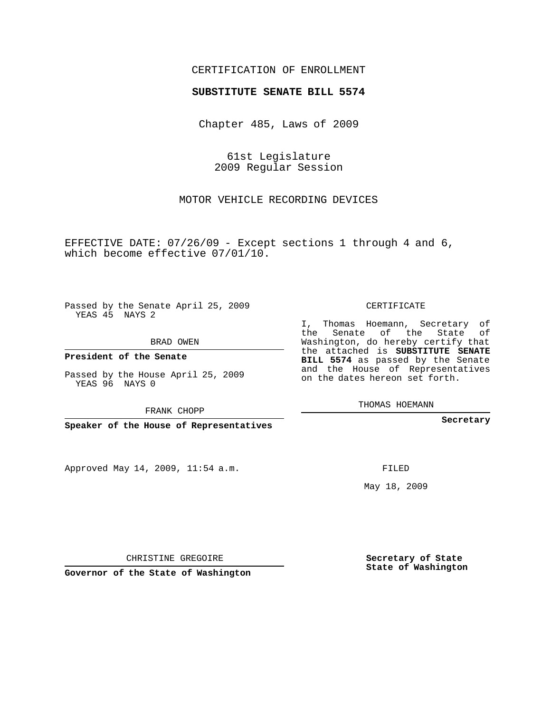## CERTIFICATION OF ENROLLMENT

## **SUBSTITUTE SENATE BILL 5574**

Chapter 485, Laws of 2009

61st Legislature 2009 Regular Session

MOTOR VEHICLE RECORDING DEVICES

EFFECTIVE DATE: 07/26/09 - Except sections 1 through 4 and 6, which become effective 07/01/10.

Passed by the Senate April 25, 2009 YEAS 45 NAYS 2

BRAD OWEN

**President of the Senate**

Passed by the House April 25, 2009 YEAS 96 NAYS 0

FRANK CHOPP

**Speaker of the House of Representatives**

Approved May 14, 2009, 11:54 a.m.

CERTIFICATE

I, Thomas Hoemann, Secretary of the Senate of the State of Washington, do hereby certify that the attached is **SUBSTITUTE SENATE BILL 5574** as passed by the Senate and the House of Representatives on the dates hereon set forth.

THOMAS HOEMANN

**Secretary**

FILED

May 18, 2009

**Secretary of State State of Washington**

CHRISTINE GREGOIRE

**Governor of the State of Washington**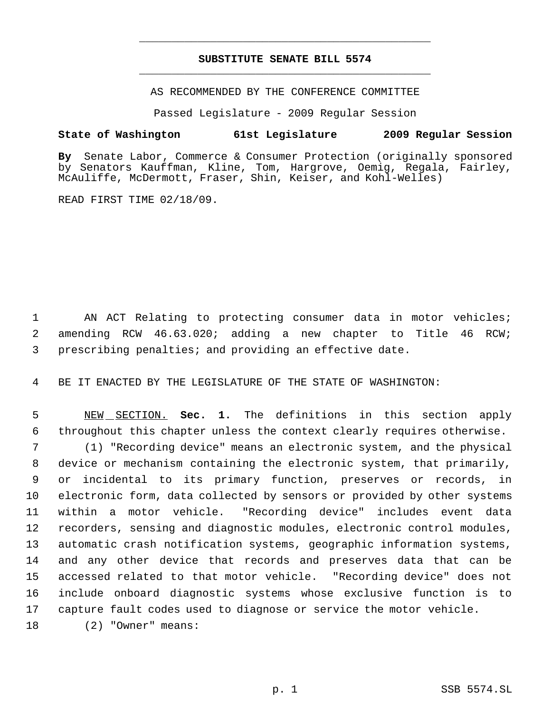## **SUBSTITUTE SENATE BILL 5574** \_\_\_\_\_\_\_\_\_\_\_\_\_\_\_\_\_\_\_\_\_\_\_\_\_\_\_\_\_\_\_\_\_\_\_\_\_\_\_\_\_\_\_\_\_

\_\_\_\_\_\_\_\_\_\_\_\_\_\_\_\_\_\_\_\_\_\_\_\_\_\_\_\_\_\_\_\_\_\_\_\_\_\_\_\_\_\_\_\_\_

AS RECOMMENDED BY THE CONFERENCE COMMITTEE

Passed Legislature - 2009 Regular Session

## **State of Washington 61st Legislature 2009 Regular Session**

**By** Senate Labor, Commerce & Consumer Protection (originally sponsored by Senators Kauffman, Kline, Tom, Hargrove, Oemig, Regala, Fairley, McAuliffe, McDermott, Fraser, Shin, Keiser, and Kohl-Welles)

READ FIRST TIME 02/18/09.

1 AN ACT Relating to protecting consumer data in motor vehicles; 2 amending RCW 46.63.020; adding a new chapter to Title 46 RCW; 3 prescribing penalties; and providing an effective date.

4 BE IT ENACTED BY THE LEGISLATURE OF THE STATE OF WASHINGTON:

 5 NEW SECTION. **Sec. 1.** The definitions in this section apply 6 throughout this chapter unless the context clearly requires otherwise.

 (1) "Recording device" means an electronic system, and the physical device or mechanism containing the electronic system, that primarily, or incidental to its primary function, preserves or records, in electronic form, data collected by sensors or provided by other systems within a motor vehicle. "Recording device" includes event data recorders, sensing and diagnostic modules, electronic control modules, automatic crash notification systems, geographic information systems, and any other device that records and preserves data that can be accessed related to that motor vehicle. "Recording device" does not include onboard diagnostic systems whose exclusive function is to capture fault codes used to diagnose or service the motor vehicle.

18 (2) "Owner" means: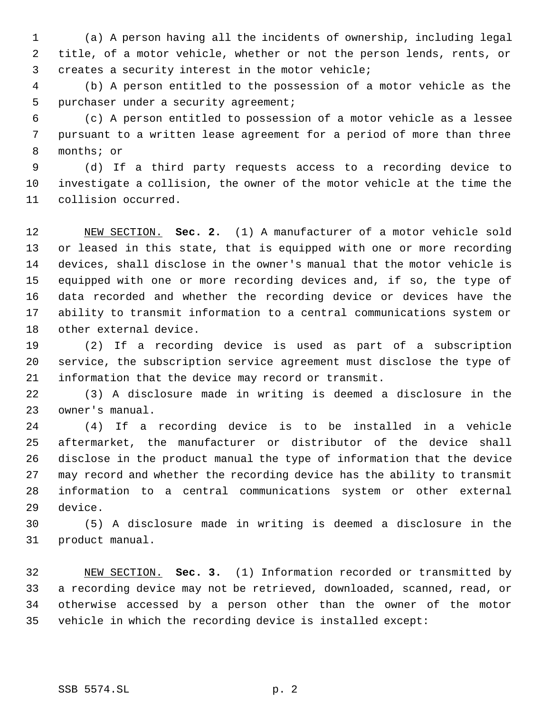(a) A person having all the incidents of ownership, including legal title, of a motor vehicle, whether or not the person lends, rents, or creates a security interest in the motor vehicle;

 (b) A person entitled to the possession of a motor vehicle as the purchaser under a security agreement;

 (c) A person entitled to possession of a motor vehicle as a lessee pursuant to a written lease agreement for a period of more than three months; or

 (d) If a third party requests access to a recording device to investigate a collision, the owner of the motor vehicle at the time the collision occurred.

 NEW SECTION. **Sec. 2.** (1) A manufacturer of a motor vehicle sold or leased in this state, that is equipped with one or more recording devices, shall disclose in the owner's manual that the motor vehicle is equipped with one or more recording devices and, if so, the type of data recorded and whether the recording device or devices have the ability to transmit information to a central communications system or other external device.

 (2) If a recording device is used as part of a subscription service, the subscription service agreement must disclose the type of information that the device may record or transmit.

 (3) A disclosure made in writing is deemed a disclosure in the owner's manual.

 (4) If a recording device is to be installed in a vehicle aftermarket, the manufacturer or distributor of the device shall disclose in the product manual the type of information that the device may record and whether the recording device has the ability to transmit information to a central communications system or other external device.

 (5) A disclosure made in writing is deemed a disclosure in the product manual.

 NEW SECTION. **Sec. 3.** (1) Information recorded or transmitted by a recording device may not be retrieved, downloaded, scanned, read, or otherwise accessed by a person other than the owner of the motor vehicle in which the recording device is installed except: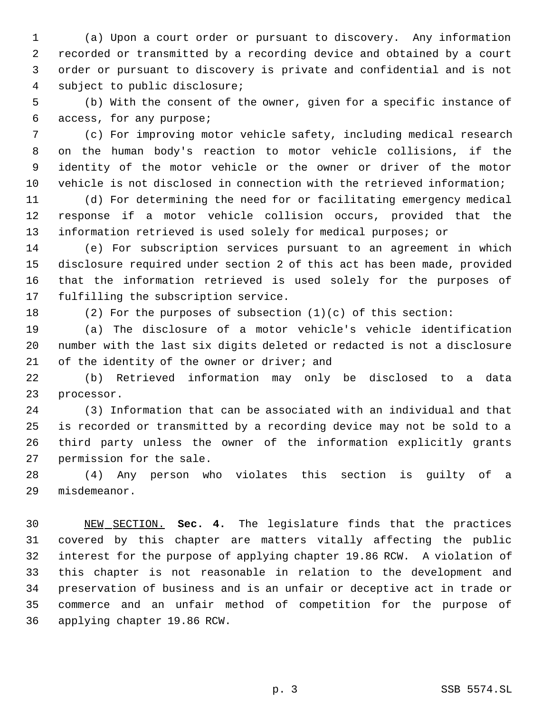(a) Upon a court order or pursuant to discovery. Any information recorded or transmitted by a recording device and obtained by a court order or pursuant to discovery is private and confidential and is not subject to public disclosure;

 (b) With the consent of the owner, given for a specific instance of access, for any purpose;

 (c) For improving motor vehicle safety, including medical research on the human body's reaction to motor vehicle collisions, if the identity of the motor vehicle or the owner or driver of the motor vehicle is not disclosed in connection with the retrieved information;

 (d) For determining the need for or facilitating emergency medical response if a motor vehicle collision occurs, provided that the information retrieved is used solely for medical purposes; or

 (e) For subscription services pursuant to an agreement in which disclosure required under section 2 of this act has been made, provided that the information retrieved is used solely for the purposes of fulfilling the subscription service.

(2) For the purposes of subsection (1)(c) of this section:

 (a) The disclosure of a motor vehicle's vehicle identification number with the last six digits deleted or redacted is not a disclosure 21 of the identity of the owner or driver; and

 (b) Retrieved information may only be disclosed to a data processor.

 (3) Information that can be associated with an individual and that is recorded or transmitted by a recording device may not be sold to a third party unless the owner of the information explicitly grants permission for the sale.

 (4) Any person who violates this section is guilty of a misdemeanor.

 NEW SECTION. **Sec. 4.** The legislature finds that the practices covered by this chapter are matters vitally affecting the public interest for the purpose of applying chapter 19.86 RCW. A violation of this chapter is not reasonable in relation to the development and preservation of business and is an unfair or deceptive act in trade or commerce and an unfair method of competition for the purpose of applying chapter 19.86 RCW.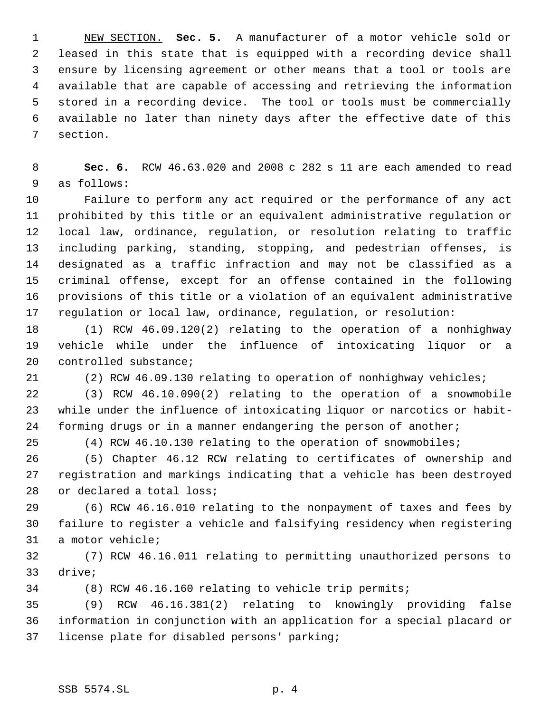NEW SECTION. **Sec. 5.** A manufacturer of a motor vehicle sold or leased in this state that is equipped with a recording device shall ensure by licensing agreement or other means that a tool or tools are available that are capable of accessing and retrieving the information stored in a recording device. The tool or tools must be commercially available no later than ninety days after the effective date of this section.

 **Sec. 6.** RCW 46.63.020 and 2008 c 282 s 11 are each amended to read as follows:

 Failure to perform any act required or the performance of any act prohibited by this title or an equivalent administrative regulation or local law, ordinance, regulation, or resolution relating to traffic including parking, standing, stopping, and pedestrian offenses, is designated as a traffic infraction and may not be classified as a criminal offense, except for an offense contained in the following provisions of this title or a violation of an equivalent administrative regulation or local law, ordinance, regulation, or resolution:

 (1) RCW 46.09.120(2) relating to the operation of a nonhighway vehicle while under the influence of intoxicating liquor or a controlled substance;

(2) RCW 46.09.130 relating to operation of nonhighway vehicles;

 (3) RCW 46.10.090(2) relating to the operation of a snowmobile while under the influence of intoxicating liquor or narcotics or habit-forming drugs or in a manner endangering the person of another;

(4) RCW 46.10.130 relating to the operation of snowmobiles;

 (5) Chapter 46.12 RCW relating to certificates of ownership and registration and markings indicating that a vehicle has been destroyed or declared a total loss;

 (6) RCW 46.16.010 relating to the nonpayment of taxes and fees by failure to register a vehicle and falsifying residency when registering a motor vehicle;

 (7) RCW 46.16.011 relating to permitting unauthorized persons to drive;

(8) RCW 46.16.160 relating to vehicle trip permits;

 (9) RCW 46.16.381(2) relating to knowingly providing false information in conjunction with an application for a special placard or license plate for disabled persons' parking;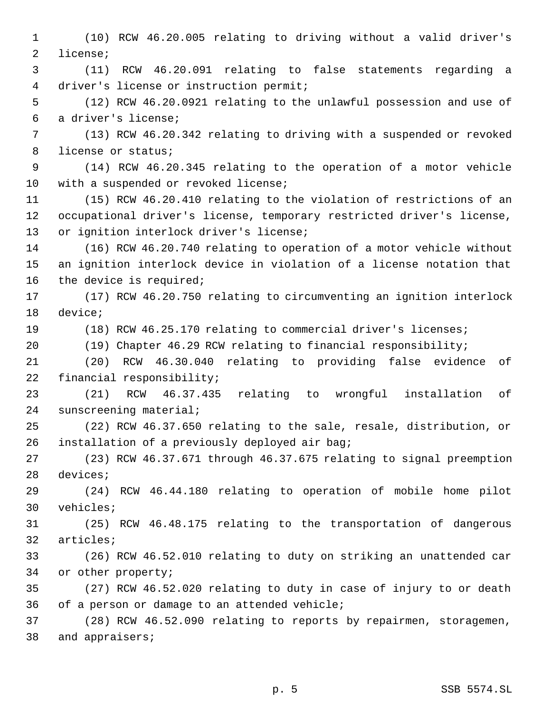(10) RCW 46.20.005 relating to driving without a valid driver's license; (11) RCW 46.20.091 relating to false statements regarding a driver's license or instruction permit; (12) RCW 46.20.0921 relating to the unlawful possession and use of a driver's license; (13) RCW 46.20.342 relating to driving with a suspended or revoked license or status; (14) RCW 46.20.345 relating to the operation of a motor vehicle with a suspended or revoked license; (15) RCW 46.20.410 relating to the violation of restrictions of an occupational driver's license, temporary restricted driver's license, or ignition interlock driver's license; (16) RCW 46.20.740 relating to operation of a motor vehicle without an ignition interlock device in violation of a license notation that the device is required; (17) RCW 46.20.750 relating to circumventing an ignition interlock device; (18) RCW 46.25.170 relating to commercial driver's licenses; (19) Chapter 46.29 RCW relating to financial responsibility; (20) RCW 46.30.040 relating to providing false evidence of financial responsibility; (21) RCW 46.37.435 relating to wrongful installation of sunscreening material; (22) RCW 46.37.650 relating to the sale, resale, distribution, or installation of a previously deployed air bag; (23) RCW 46.37.671 through 46.37.675 relating to signal preemption devices; (24) RCW 46.44.180 relating to operation of mobile home pilot vehicles; (25) RCW 46.48.175 relating to the transportation of dangerous articles; (26) RCW 46.52.010 relating to duty on striking an unattended car or other property; (27) RCW 46.52.020 relating to duty in case of injury to or death of a person or damage to an attended vehicle; (28) RCW 46.52.090 relating to reports by repairmen, storagemen, and appraisers;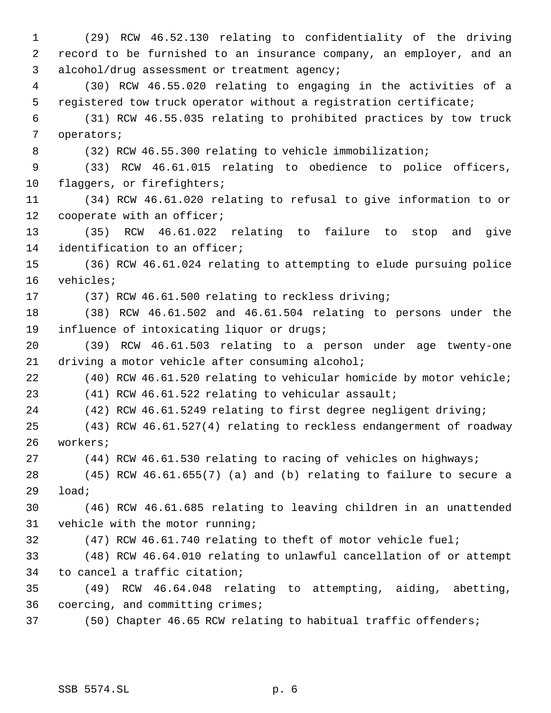(29) RCW 46.52.130 relating to confidentiality of the driving record to be furnished to an insurance company, an employer, and an alcohol/drug assessment or treatment agency; (30) RCW 46.55.020 relating to engaging in the activities of a registered tow truck operator without a registration certificate; (31) RCW 46.55.035 relating to prohibited practices by tow truck operators; (32) RCW 46.55.300 relating to vehicle immobilization; (33) RCW 46.61.015 relating to obedience to police officers, 10 flaggers, or firefighters; (34) RCW 46.61.020 relating to refusal to give information to or cooperate with an officer; (35) RCW 46.61.022 relating to failure to stop and give identification to an officer; (36) RCW 46.61.024 relating to attempting to elude pursuing police vehicles; (37) RCW 46.61.500 relating to reckless driving; (38) RCW 46.61.502 and 46.61.504 relating to persons under the influence of intoxicating liquor or drugs; (39) RCW 46.61.503 relating to a person under age twenty-one driving a motor vehicle after consuming alcohol; (40) RCW 46.61.520 relating to vehicular homicide by motor vehicle; (41) RCW 46.61.522 relating to vehicular assault; (42) RCW 46.61.5249 relating to first degree negligent driving; (43) RCW 46.61.527(4) relating to reckless endangerment of roadway workers; (44) RCW 46.61.530 relating to racing of vehicles on highways; (45) RCW 46.61.655(7) (a) and (b) relating to failure to secure a load; (46) RCW 46.61.685 relating to leaving children in an unattended vehicle with the motor running; (47) RCW 46.61.740 relating to theft of motor vehicle fuel; (48) RCW 46.64.010 relating to unlawful cancellation of or attempt to cancel a traffic citation; (49) RCW 46.64.048 relating to attempting, aiding, abetting, coercing, and committing crimes; (50) Chapter 46.65 RCW relating to habitual traffic offenders;